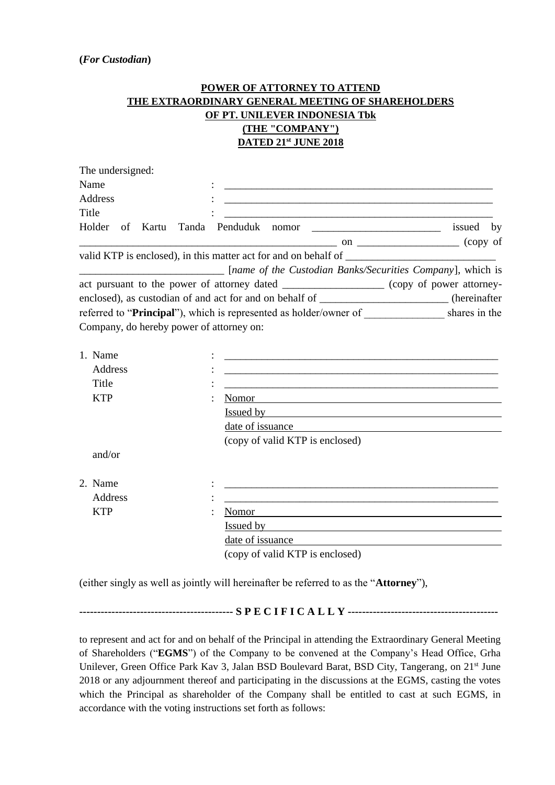## **POWER OF ATTORNEY TO ATTEND THE EXTRAORDINARY GENERAL MEETING OF SHAREHOLDERS OF PT. UNILEVER INDONESIA Tbk (THE "COMPANY") DATED 21st JUNE 2018**

| The undersigned:                         |                                                                                                                                                                                                                                |           |
|------------------------------------------|--------------------------------------------------------------------------------------------------------------------------------------------------------------------------------------------------------------------------------|-----------|
| Name                                     |                                                                                                                                                                                                                                |           |
| Address                                  | <u> 1989 - Johann Barn, mars and de Brasilian (b. 1989)</u>                                                                                                                                                                    |           |
| <b>Title</b>                             |                                                                                                                                                                                                                                |           |
|                                          | Holder of Kartu Tanda Penduduk nomor                                                                                                                                                                                           | issued by |
|                                          |                                                                                                                                                                                                                                |           |
|                                          |                                                                                                                                                                                                                                |           |
|                                          | [name of the Custodian Banks/Securities Company], which is                                                                                                                                                                     |           |
|                                          | act pursuant to the power of attorney dated _________________ (copy of power attorney-                                                                                                                                         |           |
|                                          | enclosed), as custodian of and act for and on behalf of _______________________(hereinafter                                                                                                                                    |           |
|                                          | referred to "Principal"), which is represented as holder/owner of ______________ shares in the                                                                                                                                 |           |
| Company, do hereby power of attorney on: |                                                                                                                                                                                                                                |           |
|                                          |                                                                                                                                                                                                                                |           |
| 1. Name                                  |                                                                                                                                                                                                                                |           |
| Address                                  | <u> 1989 - Johann Harry Harry Harry Harry Harry Harry Harry Harry Harry Harry Harry Harry Harry Harry Harry Harry</u>                                                                                                          |           |
| Title                                    |                                                                                                                                                                                                                                |           |
| <b>KTP</b>                               | Nomor<br><u> 1989 - Johann Barn, mars ann an t-Amhain ann an t-Amhain an t-Amhain an t-Amhain an t-Amhain an t-Amhain an t-</u>                                                                                                |           |
|                                          | Issued by the contract of the contract of the state of the contract of the contract of the contract of the contract of the contract of the contract of the contract of the contract of the contract of the contract of the con |           |
|                                          | date of issuance example and the same state of issuance and the same state of issuance of the state of the state of the state of the state of the state of the state of the state of the state of the state of the state of th |           |
|                                          | (copy of valid KTP is enclosed)                                                                                                                                                                                                |           |
| and/or                                   |                                                                                                                                                                                                                                |           |
|                                          |                                                                                                                                                                                                                                |           |
| 2. Name                                  |                                                                                                                                                                                                                                |           |
| Address                                  |                                                                                                                                                                                                                                |           |
| <b>KTP</b>                               | Nomor                                                                                                                                                                                                                          |           |
|                                          |                                                                                                                                                                                                                                |           |
|                                          | date of issuance                                                                                                                                                                                                               |           |
|                                          | (copy of valid KTP is enclosed)                                                                                                                                                                                                |           |

(either singly as well as jointly will hereinafter be referred to as the "**Attorney**"),

**------------------------------------------- S P E C I F I C A L L Y ------------------------------------------**

to represent and act for and on behalf of the Principal in attending the Extraordinary General Meeting of Shareholders ("**EGMS**") of the Company to be convened at the Company's Head Office, Grha Unilever, Green Office Park Kav 3, Jalan BSD Boulevard Barat, BSD City, Tangerang, on 21<sup>st</sup> June 2018 or any adjournment thereof and participating in the discussions at the EGMS, casting the votes which the Principal as shareholder of the Company shall be entitled to cast at such EGMS, in accordance with the voting instructions set forth as follows: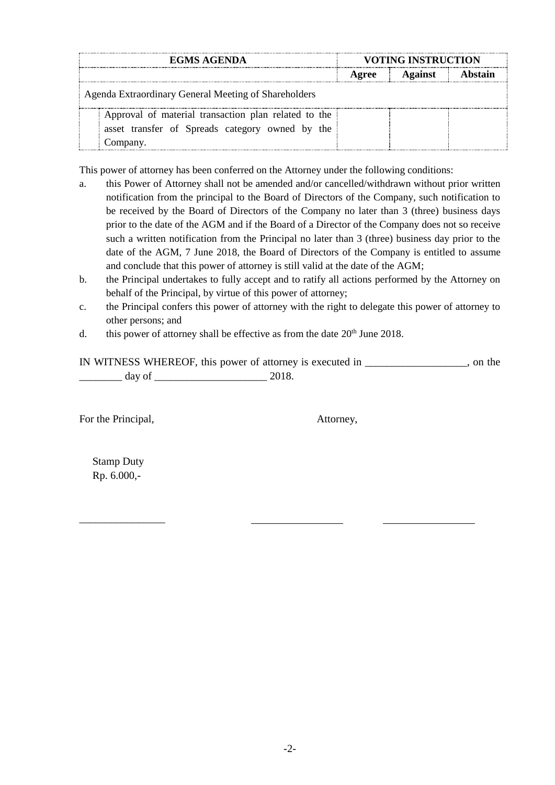| <b>EGMS AGENDA</b>                                   | <b>VOTING INSTRUCTION</b> |                |  |
|------------------------------------------------------|---------------------------|----------------|--|
|                                                      | Agree                     | <b>Against</b> |  |
| Agenda Extraordinary General Meeting of Shareholders |                           |                |  |
| Approval of material transaction plan related to the |                           |                |  |
| asset transfer of Spreads category owned by the      |                           |                |  |
|                                                      |                           |                |  |

This power of attorney has been conferred on the Attorney under the following conditions:

- a. this Power of Attorney shall not be amended and/or cancelled/withdrawn without prior written notification from the principal to the Board of Directors of the Company, such notification to be received by the Board of Directors of the Company no later than 3 (three) business days prior to the date of the AGM and if the Board of a Director of the Company does not so receive such a written notification from the Principal no later than 3 (three) business day prior to the date of the AGM, 7 June 2018, the Board of Directors of the Company is entitled to assume and conclude that this power of attorney is still valid at the date of the AGM;
- b. the Principal undertakes to fully accept and to ratify all actions performed by the Attorney on behalf of the Principal, by virtue of this power of attorney;
- c. the Principal confers this power of attorney with the right to delegate this power of attorney to other persons; and
- d. this power of attorney shall be effective as from the date  $20<sup>th</sup>$  June 2018.

IN WITNESS WHEREOF, this power of attorney is executed in \_\_\_\_\_\_\_\_\_\_\_\_\_\_\_\_\_\_\_, on the  $\frac{day \text{ of } 2018.}{}$ 

For the Principal,  $\blacksquare$ 

Stamp Duty Rp. 6.000,-

\_\_\_\_\_\_\_\_\_\_\_\_\_\_\_\_